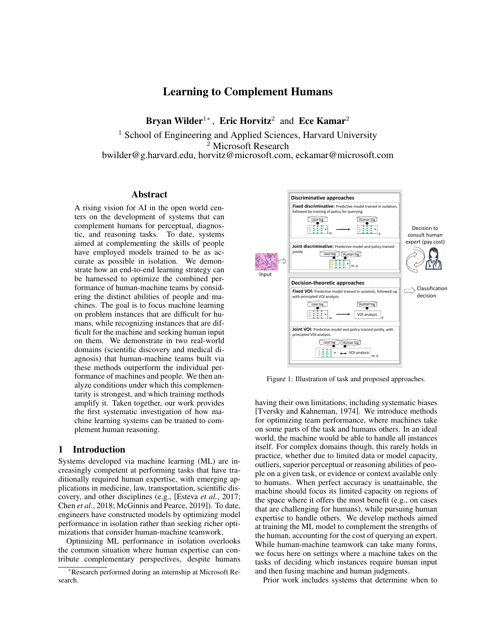# Learning to Complement Humans

Bryan Wilder<sup>1</sup>\*, Eric Horvitz<sup>2</sup> and Ece Kamar<sup>2</sup>

<sup>1</sup> School of Engineering and Applied Sciences, Harvard University <sup>2</sup> Microsoft Research bwilder@g.harvard.edu, horvitz@microsoft.com, eckamar@microsoft.com

### Abstract

A rising vision for AI in the open world centers on the development of systems that can complement humans for perceptual, diagnostic, and reasoning tasks. To date, systems aimed at complementing the skills of people have employed models trained to be as accurate as possible in isolation. We demonstrate how an end-to-end learning strategy can be harnessed to optimize the combined performance of human-machine teams by considering the distinct abilities of people and machines. The goal is to focus machine learning on problem instances that are difficult for humans, while recognizing instances that are difficult for the machine and seeking human input on them. We demonstrate in two real-world domains (scientific discovery and medical diagnosis) that human-machine teams built via these methods outperform the individual performance of machines and people. We then analyze conditions under which this complementarity is strongest, and which training methods amplify it. Taken together, our work provides the first systematic investigation of how machine learning systems can be trained to complement human reasoning.

# 1 Introduction

Systems developed via machine learning (ML) are increasingly competent at performing tasks that have traditionally required human expertise, with emerging applications in medicine, law, transportation, scientific discovery, and other disciplines (e.g., [\[Esteva](#page-6-0) *et al.*, 2017; Chen *et al.*[, 2018;](#page-6-1) [McGinnis and Pearce, 2019\]](#page-7-0)). To date, engineers have constructed models by optimizing model performance in isolation rather than seeking richer optimizations that consider human-machine teamwork.

Optimizing ML performance in isolation overlooks the common situation where human expertise can contribute complementary perspectives, despite humans

<span id="page-0-0"></span>

Figure 1: Illustration of task and proposed approaches.

having their own limitations, including systematic biases [\[Tversky and Kahneman, 1974\]](#page-7-1). We introduce methods for optimizing team performance, where machines take on some parts of the task and humans others. In an ideal world, the machine would be able to handle all instances itself. For complex domains though, this rarely holds in practice, whether due to limited data or model capacity, outliers, superior perceptual or reasoning abilities of people on a given task, or evidence or context available only to humans. When perfect accuracy is unattainable, the machine should focus its limited capacity on regions of the space where it offers the most benefit (e.g., on cases that are challenging for humans), while pursuing human expertise to handle others. We develop methods aimed at training the ML model to complement the strengths of the human, accounting for the cost of querying an expert. While human-machine teamwork can take many forms, we focus here on settings where a machine takes on the tasks of deciding which instances require human input and then fusing machine and human judgments.

Prior work includes systems that determine when to

<sup>∗</sup>Research performed during an internship at Microsoft Research.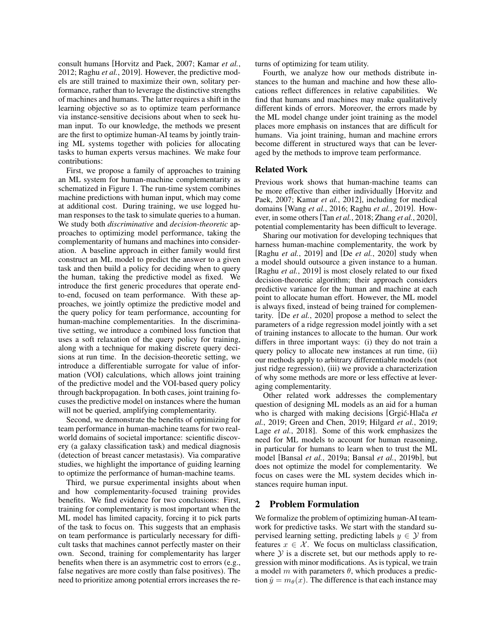consult humans [\[Horvitz and Paek, 2007;](#page-6-2) [Kamar](#page-6-3) *et al.*, [2012;](#page-6-3) Raghu *et al.*[, 2019\]](#page-7-2). However, the predictive models are still trained to maximize their own, solitary performance, rather than to leverage the distinctive strengths of machines and humans. The latter requires a shift in the learning objective so as to optimize team performance via instance-sensitive decisions about when to seek human input. To our knowledge, the methods we present are the first to optimize human-AI teams by jointly training ML systems together with policies for allocating tasks to human experts versus machines. We make four contributions:

First, we propose a family of approaches to training an ML system for human-machine complementarity as schematized in Figure [1.](#page-0-0) The run-time system combines machine predictions with human input, which may come at additional cost. During training, we use logged human responses to the task to simulate queries to a human. We study both *discriminative* and *decision-theoretic* approaches to optimizing model performance, taking the complementarity of humans and machines into consideration. A baseline approach in either family would first construct an ML model to predict the answer to a given task and then build a policy for deciding when to query the human, taking the predictive model as fixed. We introduce the first generic procedures that operate endto-end, focused on team performance. With these approaches, we jointly optimize the predictive model and the query policy for team performance, accounting for human-machine complementarities. In the discriminative setting, we introduce a combined loss function that uses a soft relaxation of the query policy for training, along with a technique for making discrete query decisions at run time. In the decision-theoretic setting, we introduce a differentiable surrogate for value of information (VOI) calculations, which allows joint training of the predictive model and the VOI-based query policy through backpropagation. In both cases, joint training focuses the predictive model on instances where the human will not be queried, amplifying complementarity.

Second, we demonstrate the benefits of optimizing for team performance in human-machine teams for two realworld domains of societal importance: scientific discovery (a galaxy classification task) and medical diagnosis (detection of breast cancer metastasis). Via comparative studies, we highlight the importance of guiding learning to optimize the performance of human-machine teams.

Third, we pursue experimental insights about when and how complementarity-focused training provides benefits. We find evidence for two conclusions: First, training for complementarity is most important when the ML model has limited capacity, forcing it to pick parts of the task to focus on. This suggests that an emphasis on team performance is particularly necessary for difficult tasks that machines cannot perfectly master on their own. Second, training for complementarity has larger benefits when there is an asymmetric cost to errors (e.g., false negatives are more costly than false positives). The need to prioritize among potential errors increases the returns of optimizing for team utility.

Fourth, we analyze how our methods distribute instances to the human and machine and how these allocations reflect differences in relative capabilities. We find that humans and machines may make qualitatively different kinds of errors. Moreover, the errors made by the ML model change under joint training as the model places more emphasis on instances that are difficult for humans. Via joint training, human and machine errors become different in structured ways that can be leveraged by the methods to improve team performance.

# Related Work

Previous work shows that human-machine teams can be more effective than either individually [\[Horvitz and](#page-6-2) [Paek, 2007;](#page-6-2) [Kamar](#page-6-3) *et al.*, 2012], including for medical domains [Wang *et al.*[, 2016;](#page-7-3) Raghu *et al.*[, 2019\]](#page-7-2). However, in some others[Tan *et al.*[, 2018;](#page-7-4) Zhang *et al.*[, 2020\]](#page-7-5), potential complementarity has been difficult to leverage.

Sharing our motivation for developing techniques that harness human-machine complementarity, the work by [\[Raghu](#page-7-2) *et al.*, 2019] and [De *et al.*[, 2020\]](#page-6-4) study when a model should outsource a given instance to a human. [\[Raghu](#page-7-2) *et al.*, 2019] is most closely related to our fixed decision-theoretic algorithm; their approach considers predictive variance for the human and machine at each point to allocate human effort. However, the ML model is always fixed, instead of being trained for complementarity. [De *et al.*[, 2020\]](#page-6-4) propose a method to select the parameters of a ridge regression model jointly with a set of training instances to allocate to the human. Our work differs in three important ways: (i) they do not train a query policy to allocate new instances at run time, (ii) our methods apply to arbitrary differentiable models (not just ridge regression), (iii) we provide a characterization of why some methods are more or less effective at leveraging complementarity.

Other related work addresses the complementary question of designing ML models as an aid for a human who is charged with making decisions [Grgić-Hlača et *al.*[, 2019;](#page-6-5) [Green and Chen, 2019;](#page-6-6) [Hilgard](#page-6-7) *et al.*, 2019; Lage *et al.*[, 2018\]](#page-7-6). Some of this work emphasizes the need for ML models to account for human reasoning, in particular for humans to learn when to trust the ML model [Bansal *et al.*[, 2019a;](#page-6-8) Bansal *et al.*[, 2019b\]](#page-6-9), but does not optimize the model for complementarity. We focus on cases were the ML system decides which instances require human input.

# 2 Problem Formulation

We formalize the problem of optimizing human-AI teamwork for predictive tasks. We start with the standard supervised learning setting, predicting labels  $y \in \mathcal{Y}$  from features  $x \in \mathcal{X}$ . We focus on multiclass classification, where  $Y$  is a discrete set, but our methods apply to regression with minor modifications. As is typical, we train a model m with parameters  $\theta$ , which produces a prediction  $\hat{y} = m_{\theta}(x)$ . The difference is that each instance may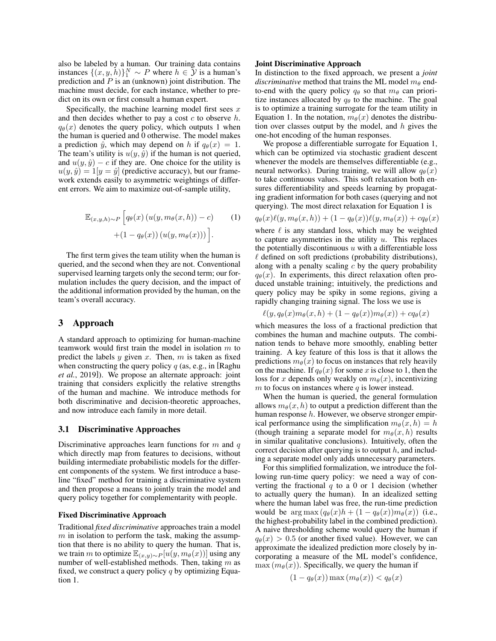also be labeled by a human. Our training data contains instances  $\{(x, y, h)\}_1^N \sim P$  where  $h \in \overline{\mathcal{Y}}$  is a human's prediction and  $P$  is an (unknown) joint distribution. The machine must decide, for each instance, whether to predict on its own or first consult a human expert.

Specifically, the machine learning model first sees  $x$ and then decides whether to pay a cost  $c$  to observe  $h$ .  $q_{\theta}(x)$  denotes the query policy, which outputs 1 when the human is queried and 0 otherwise. The model makes a prediction  $\hat{y}$ , which may depend on h if  $q_{\theta}(x) = 1$ . The team's utility is  $u(y, \hat{y})$  if the human is not queried, and  $u(y, \hat{y}) - c$  if they are. One choice for the utility is  $u(y, \hat{y}) = 1[y = \hat{y}]$  (predictive accuracy), but our framework extends easily to asymmetric weightings of different errors. We aim to maximize out-of-sample utility,

$$
\mathbb{E}_{(x,y,h)\sim P}\left[q_{\theta}(x)\left(u(y,m_{\theta}(x,h))-c\right)\right] + (1-q_{\theta}(x))\left(u(y,m_{\theta}(x))\right)\right].
$$
\n(1)

The first term gives the team utility when the human is queried, and the second when they are not. Conventional supervised learning targets only the second term; our formulation includes the query decision, and the impact of the additional information provided by the human, on the team's overall accuracy.

# 3 Approach

A standard approach to optimizing for human-machine teamwork would first train the model in isolation m to predict the labels  $y$  given  $x$ . Then,  $m$  is taken as fixed when constructing the query policy  $q$  (as, e.g., in [\[Raghu](#page-7-2) *et al.*[, 2019\]](#page-7-2)). We propose an alternate approach: joint training that considers explicitly the relative strengths of the human and machine. We introduce methods for both discriminative and decision-theoretic approaches, and now introduce each family in more detail.

## 3.1 Discriminative Approaches

Discriminative approaches learn functions for  $m$  and  $q$ which directly map from features to decisions, without building intermediate probabilistic models for the different components of the system. We first introduce a baseline "fixed" method for training a discriminative system and then propose a means to jointly train the model and query policy together for complementarity with people.

#### Fixed Discriminative Approach

Traditional *fixed discriminative* approaches train a model  $m$  in isolation to perform the task, making the assumption that there is no ability to query the human. That is, we train m to optimize  $\mathbb{E}_{(x,y)\sim P}[u(y, m_{\theta}(x))]$  using any number of well-established methods. Then, taking  $m$  as fixed, we construct a query policy  $q$  by optimizing Equation [1.](#page-2-0)

#### Joint Discriminative Approach

In distinction to the fixed approach, we present a *joint discriminative* method that trains the ML model  $m_\theta$  endto-end with the query policy  $q_\theta$  so that  $m_\theta$  can prioritize instances allocated by  $q_{\theta}$  to the machine. The goal is to optimize a training surrogate for the team utility in Equation [1.](#page-2-0) In the notation,  $m_{\theta}(x)$  denotes the distribution over classes output by the model, and  $h$  gives the one-hot encoding of the human responses.

We propose a differentiable surrogate for Equation [1,](#page-2-0) which can be optimized via stochastic gradient descent whenever the models are themselves differentiable (e.g., neural networks). During training, we will allow  $q_{\theta}(x)$ to take continuous values. This soft relaxation both ensures differentiability and speeds learning by propagating gradient information for both cases (querying and not querying). The most direct relaxation for Equation [1](#page-2-0) is

<span id="page-2-0"></span>
$$
q_{\theta}(x)\ell(y,m_{\theta}(x,h)) + (1-q_{\theta}(x))\ell(y,m_{\theta}(x)) + cq_{\theta}(x)
$$

where  $\ell$  is any standard loss, which may be weighted to capture asymmetries in the utility  $u$ . This replaces the potentially discontinuous  $u$  with a differentiable loss  $\ell$  defined on soft predictions (probability distributions), along with a penalty scaling  $c$  by the query probability  $q_{\theta}(x)$ . In experiments, this direct relaxation often produced unstable training; intuitively, the predictions and query policy may be spiky in some regions, giving a rapidly changing training signal. The loss we use is

$$
\ell(y, q_{\theta}(x)m_{\theta}(x, h) + (1 - q_{\theta}(x))m_{\theta}(x)) + cq_{\theta}(x)
$$

which measures the loss of a fractional prediction that combines the human and machine outputs. The combination tends to behave more smoothly, enabling better training. A key feature of this loss is that it allows the predictions  $m_{\theta}(x)$  to focus on instances that rely heavily on the machine. If  $q_{\theta}(x)$  for some x is close to 1, then the loss for x depends only weakly on  $m_\theta(x)$ , incentivizing  $m$  to focus on instances where  $q$  is lower instead.

When the human is queried, the general formulation allows  $m_{\theta}(x, h)$  to output a prediction different than the human response h. However, we observe stronger empirical performance using the simplification  $m_\theta(x, h) = h$ (though training a separate model for  $m_\theta(x, h)$  results in similar qualitative conclusions). Intuitively, often the correct decision after querying is to output  $h$ , and including a separate model only adds unnecessary parameters.

For this simplified formalization, we introduce the following run-time query policy: we need a way of converting the fractional  $q$  to a 0 or 1 decision (whether to actually query the human). In an idealized setting where the human label was free, the run-time prediction would be  $\arg \max (q_{\theta}(x)h + (1 - q_{\theta}(x))m_{\theta}(x))$  (i.e., the highest-probability label in the combined prediction). A naive thresholding scheme would query the human if  $q_{\theta}(x) > 0.5$  (or another fixed value). However, we can approximate the idealized prediction more closely by incorporating a measure of the ML model's confidence,  $\max(m_\theta(x))$ . Specifically, we query the human if

$$
(1 - q_{\theta}(x)) \max (m_{\theta}(x)) < q_{\theta}(x)
$$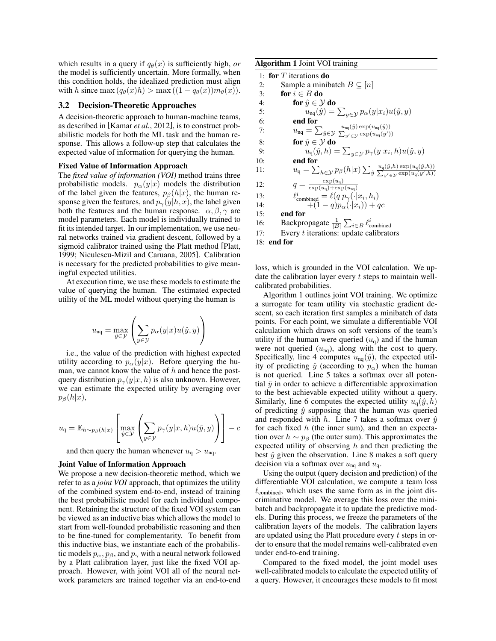which results in a query if  $q_{\theta}(x)$  is sufficiently high, *or* the model is sufficiently uncertain. More formally, when this condition holds, the idealized prediction must align with h since max  $(q_\theta(x)h) > \max((1 - q_\theta(x))m_\theta(x)).$ 

# 3.2 Decision-Theoretic Approaches

A decision-theoretic approach to human-machine teams, as described in [\[Kamar](#page-6-3) *et al.*, 2012], is to construct probabilistic models for both the ML task and the human response. This allows a follow-up step that calculates the expected value of information for querying the human.

#### Fixed Value of Information Approach

The *fixed value of information (VOI)* method trains three probabilistic models.  $p_{\alpha}(y|x)$  models the distribution of the label given the features,  $p_\beta(h|x)$ , the human response given the features, and  $p_{\gamma}(y|h, x)$ , the label given both the features and the human response.  $\alpha$ ,  $\beta$ ,  $\gamma$  are model parameters. Each model is individually trained to fit its intended target. In our implementation, we use neural networks trained via gradient descent, followed by a sigmoid calibrator trained using the Platt method [\[Platt,](#page-7-7) [1999;](#page-7-7) [Niculescu-Mizil and Caruana, 2005\]](#page-7-8). Calibration is necessary for the predicted probabilities to give meaningful expected utilities.

At execution time, we use these models to estimate the value of querying the human. The estimated expected utility of the ML model without querying the human is

$$
u_{\rm nq} = \max_{\hat{y} \in \mathcal{Y}} \left( \sum_{y \in \mathcal{Y}} p_{\alpha}(y|x) u(\hat{y}, y) \right)
$$

i.e., the value of the prediction with highest expected utility according to  $p_{\alpha}(y|x)$ . Before querying the human, we cannot know the value of  $h$  and hence the postquery distribution  $p_{\gamma}(y|x, h)$  is also unknown. However, we can estimate the expected utility by averaging over  $p_\beta(h|x)$ ,

$$
u_{\mathbf{q}} = \mathbb{E}_{h \sim p_{\beta}(h|x)} \left[ \max_{\hat{y} \in \mathcal{Y}} \left( \sum_{y \in \mathcal{Y}} p_{\gamma}(y|x, h) u(\hat{y}, y) \right) \right] - c
$$

and then query the human whenever  $u_q > u_{nq}$ .

#### Joint Value of Information Approach

We propose a new decision-theoretic method, which we refer to as a *joint VOI* approach, that optimizes the utility of the combined system end-to-end, instead of training the best probabilistic model for each individual component. Retaining the structure of the fixed VOI system can be viewed as an inductive bias which allows the model to start from well-founded probabilistic reasoning and then to be fine-tuned for complementarity. To benefit from this inductive bias, we instantiate each of the probabilistic models  $p_{\alpha}, p_{\beta}$ , and  $p_{\gamma}$  with a neural network followed by a Platt calibration layer, just like the fixed VOI approach. However, with joint VOI all of the neural network parameters are trained together via an end-to-end

#### <span id="page-3-0"></span>Algorithm 1 Joint VOI training

|     | 1: for $T$ iterations do                                                                                                                                                                                                           |
|-----|------------------------------------------------------------------------------------------------------------------------------------------------------------------------------------------------------------------------------------|
| 2:  | Sample a minibatch $B \subseteq  n $                                                                                                                                                                                               |
| 3:  | for $i \in B$ do                                                                                                                                                                                                                   |
| 4:  | for $\hat{y} \in \mathcal{Y}$ do                                                                                                                                                                                                   |
| 5:  | $u_{\rm nq}(\hat{y}) = \sum_{y \in \mathcal{Y}} p_{\alpha}(y x_i) u(\hat{y}, y)$                                                                                                                                                   |
| 6:  | end for                                                                                                                                                                                                                            |
| 7:  | $u_{\text{nq}} = \sum_{\hat{y} \in \mathcal{Y}} \frac{u_{\text{nq}}(\hat{y}) \exp(u_{\text{nq}}(\hat{y}))}{\sum_{y' \in \mathcal{Y}} \exp(u_{\text{nq}}(y'))}$                                                                     |
| 8:  | for $\hat{y} \in \mathcal{Y}$ do                                                                                                                                                                                                   |
| 9:  | $u_q(\hat{y},h) = \sum_{y \in \mathcal{Y}} p_{\gamma}(y x_i,h)u(\hat{y},y)$                                                                                                                                                        |
| 10: | end for                                                                                                                                                                                                                            |
| 11: | $u_{\mathfrak{q}} = \sum_{h \in \mathcal{Y}} p_{\beta}(h x) \sum_{\hat{y}} \frac{u_{\mathfrak{q}}(\hat{y},h) \exp(u_{\mathfrak{q}}(\hat{y},h))}{\sum_{\hat{y}} \sum_{\hat{y} \in \mathcal{X}} \exp(u_{\mathfrak{q}}(\hat{y}',h))}$ |
| 12: | $q = \frac{\exp(u_q)}{\exp(u_q) + \exp(u_m)}$                                                                                                                                                                                      |
| 13: | $\ell_{\text{combined}}^i = \ell(q p_{\gamma}(\cdot   x_i, h_i))$                                                                                                                                                                  |
| 14: | $+(1-q)p_{\alpha}(\cdot x_i)) + qc$                                                                                                                                                                                                |
| 15: | end for                                                                                                                                                                                                                            |
| 16: | Backpropagate $\frac{1}{ B } \sum_{i \in B} \ell_{\text{combined}}^i$                                                                                                                                                              |
| 17: | Every $t$ iterations: update calibrators                                                                                                                                                                                           |
|     | $18:$ end for                                                                                                                                                                                                                      |

loss, which is grounded in the VOI calculation. We update the calibration layer every  $t$  steps to maintain wellcalibrated probabilities.

Algorithm [1](#page-3-0) outlines joint VOI training. We optimize a surrogate for team utility via stochastic gradient descent, so each iteration first samples a minibatch of data points. For each point, we simulate a differentiable VOI calculation which draws on soft versions of the team's utility if the human were queried  $(u_q)$  and if the human were not queried  $(u_{nq})$ , along with the cost to query. Specifically, line 4 computes  $u_{nq}(\hat{y})$ , the expected utility of predicting  $\hat{y}$  (according to  $p_{\alpha}$ ) when the human is not queried. Line 5 takes a softmax over all potential  $\hat{y}$  in order to achieve a differentiable approximation to the best achievable expected utility without a query. Similarly, line 6 computes the expected utility  $u_{\alpha}(\hat{y}, h)$ of predicting  $\hat{y}$  supposing that the human was queried and responded with h. Line 7 takes a softmax over  $\hat{y}$ for each fixed  $h$  (the inner sum), and then an expectation over  $h \sim p_\beta$  (the outer sum). This approximates the expected utility of observing  $h$  and then predicting the best  $\hat{y}$  given the observation. Line 8 makes a soft query decision via a softmax over  $u_{nq}$  and  $u_q$ .

Using the output (query decision and prediction) of the differentiable VOI calculation, we compute a team loss  $\ell_{\text{combined}}$ , which uses the same form as in the joint discriminative model. We average this loss over the minibatch and backpropagate it to update the predictive models. During this process, we freeze the parameters of the calibration layers of the models. The calibration layers are updated using the Platt procedure every t steps in order to ensure that the model remains well-calibrated even under end-to-end training.

Compared to the fixed model, the joint model uses well-calibrated models to calculate the expected utility of a query. However, it encourages these models to fit most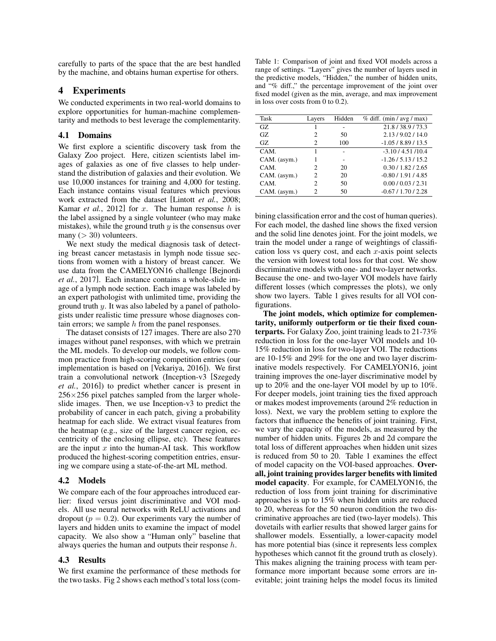carefully to parts of the space that the are best handled by the machine, and obtains human expertise for others.

# 4 Experiments

We conducted experiments in two real-world domains to explore opportunities for human-machine complementarity and methods to best leverage the complementarity.

#### 4.1 Domains

We first explore a scientific discovery task from the Galaxy Zoo project. Here, citizen scientists label images of galaxies as one of five classes to help understand the distribution of galaxies and their evolution. We use 10,000 instances for training and 4,000 for testing. Each instance contains visual features which previous work extracted from the dataset [\[Lintott](#page-7-9) *et al.*, 2008; Kamar *et al.*[, 2012\]](#page-6-3) for  $x$ . The human response  $h$  is the label assigned by a single volunteer (who may make mistakes), while the ground truth  $y$  is the consensus over many  $(> 30)$  volunteers.

We next study the medical diagnosis task of detecting breast cancer metastasis in lymph node tissue sections from women with a history of breast cancer. We use data from the CAMELYON16 challenge [\[Bejnordi](#page-6-10) *et al.*[, 2017\]](#page-6-10). Each instance contains a whole-slide image of a lymph node section. Each image was labeled by an expert pathologist with unlimited time, providing the ground truth y. It was also labeled by a panel of pathologists under realistic time pressure whose diagnoses contain errors; we sample  $h$  from the panel responses.

The dataset consists of 127 images. There are also 270 images without panel responses, with which we pretrain the ML models. To develop our models, we follow common practice from high-scoring competition entries (our implementation is based on [\[Vekariya, 2016\]](#page-7-10)). We first train a convolutional network (Inception-v3 [\[Szegedy](#page-7-11) *et al.*[, 2016\]](#page-7-11)) to predict whether cancer is present in  $256\times256$  pixel patches sampled from the larger wholeslide images. Then, we use Inception-v3 to predict the probability of cancer in each patch, giving a probability heatmap for each slide. We extract visual features from the heatmap (e.g., size of the largest cancer region, eccentricity of the enclosing ellipse, etc). These features are the input  $x$  into the human-AI task. This workflow produced the highest-scoring competition entries, ensuring we compare using a state-of-the-art ML method.

#### 4.2 Models

We compare each of the four approaches introduced earlier: fixed versus joint discriminative and VOI models. All use neural networks with ReLU activations and dropout ( $p = 0.2$ ). Our experiments vary the number of layers and hidden units to examine the impact of model capacity. We also show a "Human only" baseline that always queries the human and outputs their response h.

# 4.3 Results

We first examine the performance of these methods for the two tasks. Fig [2](#page-5-0) shows each method's total loss (com-

<span id="page-4-0"></span>Table 1: Comparison of joint and fixed VOI models across a range of settings. "Layers" gives the number of layers used in the predictive models, "Hidden," the number of hidden units, and "% diff.," the percentage improvement of the joint over fixed model (given as the min, average, and max improvement in loss over costs from 0 to 0.2).

| Task         | Layers                      | Hidden | $%$ diff. (min / avg / max) |
|--------------|-----------------------------|--------|-----------------------------|
| GZ.          |                             |        | 21.8/38.9/73.3              |
| GZ.          | 2                           | 50     | 2.13/9.02/14.0              |
| GZ.          | 2                           | 100    | $-1.05/8.89/13.5$           |
| CAM.         |                             |        | $-3.10/4.51/10.4$           |
| CAM. (asym.) |                             |        | $-1.26/5.13/15.2$           |
| CAM.         | $\mathcal{D}_{\mathcal{L}}$ | 20     | 0.30 / 1.82 / 2.65          |
| CAM. (asym.) | $\mathcal{D}_{\mathcal{L}}$ | 20     | $-0.80/1.91/4.85$           |
| CAM.         | 2                           | 50     | 0.00 / 0.03 / 2.31          |
| CAM. (asym.) | 2                           | 50     | $-0.67/1.70/2.28$           |

bining classification error and the cost of human queries). For each model, the dashed line shows the fixed version and the solid line denotes joint. For the joint models, we train the model under a range of weightings of classification loss vs query cost, and each  $x$ -axis point selects the version with lowest total loss for that cost. We show discriminative models with one- and two-layer networks. Because the one- and two-layer VOI models have fairly different losses (which compresses the plots), we only show two layers. Table [1](#page-4-0) gives results for all VOI configurations.

The joint models, which optimize for complementarity, uniformly outperform or tie their fixed counterparts. For Galaxy Zoo, joint training leads to 21-73% reduction in loss for the one-layer VOI models and 10- 15% reduction in loss for two-layer VOI. The reductions are 10-15% and 29% for the one and two layer discriminative models respectively. For CAMELYON16, joint training improves the one-layer discriminative model by up to 20% and the one-layer VOI model by up to 10%. For deeper models, joint training ties the fixed approach or makes modest improvements (around 2% reduction in loss). Next, we vary the problem setting to explore the factors that influence the benefits of joint training. First, we vary the capacity of the models, as measured by the number of hidden units. Figures [2b](#page-5-0) and [2d](#page-5-0) compare the total loss of different approaches when hidden unit sizes is reduced from 50 to 20. Table [1](#page-4-0) examines the effect of model capacity on the VOI-based approaches. Overall, joint training provides larger benefits with limited model capacity. For example, for CAMELYON16, the reduction of loss from joint training for discriminative approaches is up to 15% when hidden units are reduced to 20, whereas for the 50 neuron condition the two discriminative approaches are tied (two-layer models). This dovetails with earlier results that showed larger gains for shallower models. Essentially, a lower-capacity model has more potential bias (since it represents less complex hypotheses which cannot fit the ground truth as closely). This makes aligning the training process with team performance more important because some errors are inevitable; joint training helps the model focus its limited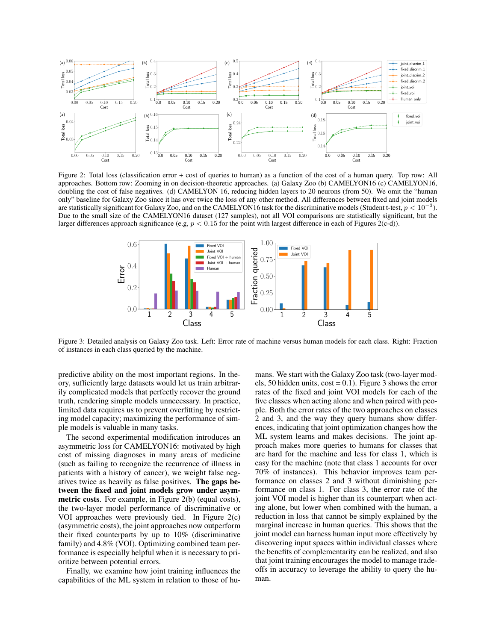<span id="page-5-0"></span>

Figure 2: Total loss (classification error + cost of queries to human) as a function of the cost of a human query. Top row: All approaches. Bottom row: Zooming in on decision-theoretic approaches. (a) Galaxy Zoo (b) CAMELYON16 (c) CAMELYON16, doubling the cost of false negatives. (d) CAMELYON 16, reducing hidden layers to 20 neurons (from 50). We omit the "human only" baseline for Galaxy Zoo since it has over twice the loss of any other method. All differences between fixed and joint models are statistically significant for Galaxy Zoo, and on the CAMELYON16 task for the discriminative models (Student t-test,  $p < 10^{-3}$ ). Due to the small size of the CAMELYON16 dataset (127 samples), not all VOI comparisons are statistically significant, but the larger differences approach significance (e.g,  $p < 0.15$  for the point with largest difference in each of Figures [2\(](#page-5-0)c-d)).

<span id="page-5-1"></span>

Figure 3: Detailed analysis on Galaxy Zoo task. Left: Error rate of machine versus human models for each class. Right: Fraction of instances in each class queried by the machine.

predictive ability on the most important regions. In theory, sufficiently large datasets would let us train arbitrarily complicated models that perfectly recover the ground truth, rendering simple models unnecessary. In practice, limited data requires us to prevent overfitting by restricting model capacity; maximizing the performance of simple models is valuable in many tasks.

The second experimental modification introduces an asymmetric loss for CAMELYON16: motivated by high cost of missing diagnoses in many areas of medicine (such as failing to recognize the recurrence of illness in patients with a history of cancer), we weight false negatives twice as heavily as false positives. The gaps between the fixed and joint models grow under asymmetric costs. For example, in Figure [2\(](#page-5-0)b) (equal costs), the two-layer model performance of discriminative or VOI approaches were previously tied. In Figure [2\(](#page-5-0)c) (asymmetric costs), the joint approaches now outperform their fixed counterparts by up to 10% (discriminative family) and 4.8% (VOI). Optimizing combined team performance is especially helpful when it is necessary to prioritize between potential errors.

Finally, we examine how joint training influences the capabilities of the ML system in relation to those of humans. We start with the Galaxy Zoo task (two-layer models, 50 hidden units,  $cost = 0.1$ ). Figure [3](#page-5-1) shows the error rates of the fixed and joint VOI models for each of the five classes when acting alone and when paired with people. Both the error rates of the two approaches on classes 2 and 3, and the way they query humans show differences, indicating that joint optimization changes how the ML system learns and makes decisions. The joint approach makes more queries to humans for classes that are hard for the machine and less for class 1, which is easy for the machine (note that class 1 accounts for over 70% of instances). This behavior improves team performance on classes 2 and 3 without diminishing performance on class 1. For class 3, the error rate of the joint VOI model is higher than its counterpart when acting alone, but lower when combined with the human, a reduction in loss that cannot be simply explained by the marginal increase in human queries. This shows that the joint model can harness human input more effectively by discovering input spaces within individual classes where the benefits of complementarity can be realized, and also that joint training encourages the model to manage tradeoffs in accuracy to leverage the ability to query the human.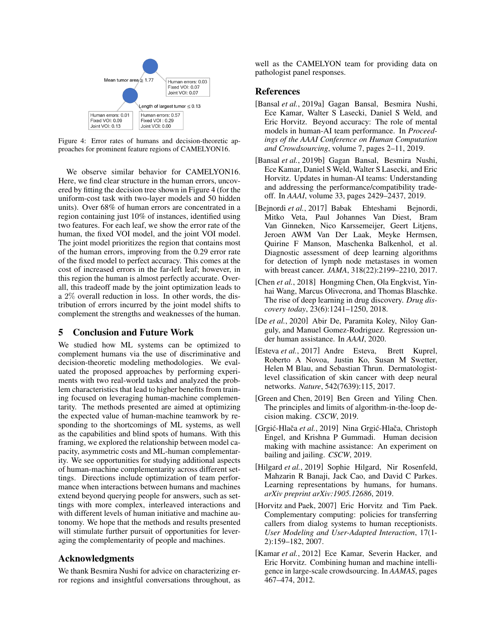<span id="page-6-11"></span>

Figure 4: Error rates of humans and decision-theoretic approaches for prominent feature regions of CAMELYON16.

We observe similar behavior for CAMELYON16. Here, we find clear structure in the human errors, uncovered by fitting the decision tree shown in Figure [4](#page-6-11) (for the uniform-cost task with two-layer models and 50 hidden units). Over 68% of human errors are concentrated in a region containing just 10% of instances, identified using two features. For each leaf, we show the error rate of the human, the fixed VOI model, and the joint VOI model. The joint model prioritizes the region that contains most of the human errors, improving from the 0.29 error rate of the fixed model to perfect accuracy. This comes at the cost of increased errors in the far-left leaf; however, in this region the human is almost perfectly accurate. Overall, this tradeoff made by the joint optimization leads to a 2% overall reduction in loss. In other words, the distribution of errors incurred by the joint model shifts to complement the strengths and weaknesses of the human.

# 5 Conclusion and Future Work

We studied how ML systems can be optimized to complement humans via the use of discriminative and decision-theoretic modeling methodologies. We evaluated the proposed approaches by performing experiments with two real-world tasks and analyzed the problem characteristics that lead to higher benefits from training focused on leveraging human-machine complementarity. The methods presented are aimed at optimizing the expected value of human-machine teamwork by responding to the shortcomings of ML systems, as well as the capabilities and blind spots of humans. With this framing, we explored the relationship between model capacity, asymmetric costs and ML-human complementarity. We see opportunities for studying additional aspects of human-machine complementarity across different settings. Directions include optimization of team performance when interactions between humans and machines extend beyond querying people for answers, such as settings with more complex, interleaved interactions and with different levels of human initiative and machine autonomy. We hope that the methods and results presented will stimulate further pursuit of opportunities for leveraging the complementarity of people and machines.

# Acknowledgments

We thank Besmira Nushi for advice on characterizing error regions and insightful conversations throughout, as well as the CAMELYON team for providing data on pathologist panel responses.

# References

- <span id="page-6-8"></span>[Bansal *et al.*, 2019a] Gagan Bansal, Besmira Nushi, Ece Kamar, Walter S Lasecki, Daniel S Weld, and Eric Horvitz. Beyond accuracy: The role of mental models in human-AI team performance. In *Proceedings of the AAAI Conference on Human Computation and Crowdsourcing*, volume 7, pages 2–11, 2019.
- <span id="page-6-9"></span>[Bansal *et al.*, 2019b] Gagan Bansal, Besmira Nushi, Ece Kamar, Daniel S Weld, Walter S Lasecki, and Eric Horvitz. Updates in human-AI teams: Understanding and addressing the performance/compatibility tradeoff. In *AAAI*, volume 33, pages 2429–2437, 2019.
- <span id="page-6-10"></span>[Bejnordi *et al.*, 2017] Babak Ehteshami Bejnordi, Mitko Veta, Paul Johannes Van Diest, Bram Van Ginneken, Nico Karssemeijer, Geert Litjens, Jeroen AWM Van Der Laak, Meyke Hermsen, Quirine F Manson, Maschenka Balkenhol, et al. Diagnostic assessment of deep learning algorithms for detection of lymph node metastases in women with breast cancer. *JAMA*, 318(22):2199–2210, 2017.
- <span id="page-6-1"></span>[Chen *et al.*, 2018] Hongming Chen, Ola Engkvist, Yinhai Wang, Marcus Olivecrona, and Thomas Blaschke. The rise of deep learning in drug discovery. *Drug discovery today*, 23(6):1241–1250, 2018.
- <span id="page-6-4"></span>[De *et al.*, 2020] Abir De, Paramita Koley, Niloy Ganguly, and Manuel Gomez-Rodriguez. Regression under human assistance. In *AAAI*, 2020.
- <span id="page-6-0"></span>[Esteva *et al.*, 2017] Andre Esteva, Brett Kuprel, Roberto A Novoa, Justin Ko, Susan M Swetter, Helen M Blau, and Sebastian Thrun. Dermatologistlevel classification of skin cancer with deep neural networks. *Nature*, 542(7639):115, 2017.
- <span id="page-6-6"></span>[Green and Chen, 2019] Ben Green and Yiling Chen. The principles and limits of algorithm-in-the-loop decision making. *CSCW*, 2019.
- <span id="page-6-5"></span>[Grgić-Hlača et al., 2019] Nina Grgić-Hlača, Christoph Engel, and Krishna P Gummadi. Human decision making with machine assistance: An experiment on bailing and jailing. *CSCW*, 2019.
- <span id="page-6-7"></span>[Hilgard et al., 2019] Sophie Hilgard, Nir Rosenfeld, Mahzarin R Banaji, Jack Cao, and David C Parkes. Learning representations by humans, for humans. *arXiv preprint arXiv:1905.12686*, 2019.
- <span id="page-6-2"></span>[Horvitz and Paek, 2007] Eric Horvitz and Tim Paek. Complementary computing: policies for transferring callers from dialog systems to human receptionists. *User Modeling and User-Adapted Interaction*, 17(1- 2):159–182, 2007.
- <span id="page-6-3"></span>[Kamar *et al.*, 2012] Ece Kamar, Severin Hacker, and Eric Horvitz. Combining human and machine intelligence in large-scale crowdsourcing. In *AAMAS*, pages 467–474, 2012.